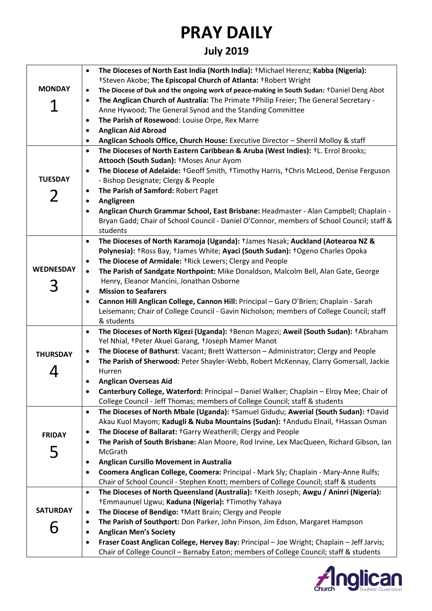## **PRAY DAILY**

## **July 2019**

|                  | The Dioceses of North East India (North India): +Michael Herenz; Kabba (Nigeria):<br>$\bullet$                                                                   |
|------------------|------------------------------------------------------------------------------------------------------------------------------------------------------------------|
|                  | †Steven Akobe; The Episcopal Church of Atlanta: †Robert Wright                                                                                                   |
| <b>MONDAY</b>    | The Diocese of Duk and the ongoing work of peace-making in South Sudan: +Daniel Deng Abot<br>$\bullet$                                                           |
|                  | The Anglican Church of Australia: The Primate +Philip Freier; The General Secretary -<br>$\bullet$                                                               |
|                  | Anne Hywood; The General Synod and the Standing Committee                                                                                                        |
|                  | The Parish of Rosewood: Louise Orpe, Rex Marre<br>$\bullet$                                                                                                      |
|                  | <b>Anglican Aid Abroad</b><br>$\bullet$                                                                                                                          |
|                  | Anglican Schools Office, Church House: Executive Director - Sherril Molloy & staff<br>$\bullet$                                                                  |
|                  | The Dioceses of North Eastern Caribbean & Aruba (West Indies): <sup>+</sup> L. Errol Brooks;<br>$\bullet$                                                        |
|                  | Attooch (South Sudan): +Moses Anur Ayom                                                                                                                          |
|                  | The Diocese of Adelaide: +Geoff Smith, +Timothy Harris, +Chris McLeod, Denise Ferguson<br>$\bullet$                                                              |
| <b>TUESDAY</b>   | - Bishop Designate; Clergy & People                                                                                                                              |
|                  | The Parish of Samford: Robert Paget<br>$\bullet$                                                                                                                 |
| 2                | Angligreen<br>$\bullet$                                                                                                                                          |
|                  | Anglican Church Grammar School, East Brisbane: Headmaster - Alan Campbell; Chaplain -                                                                            |
|                  | Bryan Gadd; Chair of School Council - Daniel O'Connor, members of School Council; staff &                                                                        |
|                  | students                                                                                                                                                         |
|                  | The Dioceses of North Karamoja (Uganda): +James Nasak; Auckland (Aotearoa NZ &<br>$\bullet$                                                                      |
|                  | Polynesia): +Ross Bay, +James White; Ayaci (South Sudan): +Ogeno Charles Opoka                                                                                   |
|                  | The Diocese of Armidale: †Rick Lewers; Clergy and People<br>$\bullet$                                                                                            |
| <b>WEDNESDAY</b> | The Parish of Sandgate Northpoint: Mike Donaldson, Malcolm Bell, Alan Gate, George<br>$\bullet$                                                                  |
|                  | Henry, Eleanor Mancini, Jonathan Osborne                                                                                                                         |
| 3                | <b>Mission to Seafarers</b><br>$\bullet$                                                                                                                         |
|                  | Cannon Hill Anglican College, Cannon Hill: Principal - Gary O'Brien; Chaplain - Sarah<br>$\bullet$                                                               |
|                  | Leisemann; Chair of College Council - Gavin Nicholson; members of College Council; staff                                                                         |
|                  | & students                                                                                                                                                       |
|                  | The Dioceses of North Kigezi (Uganda): †Benon Magezi; Aweil (South Sudan): †Abraham<br>$\bullet$                                                                 |
|                  | Yel Nhial, †Peter Akuei Garang, †Joseph Mamer Manot                                                                                                              |
| <b>THURSDAY</b>  | The Diocese of Bathurst: Vacant; Brett Watterson - Administrator; Clergy and People<br>$\bullet$                                                                 |
|                  | The Parish of Sherwood: Peter Shayler-Webb, Robert McKennay, Clarry Gomersall, Jackie<br>$\bullet$                                                               |
|                  | Hurren                                                                                                                                                           |
|                  | <b>Anglican Overseas Aid</b><br>$\bullet$                                                                                                                        |
|                  | Canterbury College, Waterford: Principal - Daniel Walker; Chaplain - Elroy Mee; Chair of<br>$\bullet$                                                            |
|                  | College Council - Jeff Thomas; members of College Council; staff & students                                                                                      |
|                  | The Dioceses of North Mbale (Uganda): +Samuel Gidudu; Awerial (South Sudan): +David<br>$\bullet$                                                                 |
|                  | Akau Kuol Mayom; Kadugli & Nuba Mountains (Sudan): †Andudu Elnail, †Hassan Osman                                                                                 |
| <b>FRIDAY</b>    | The Diocese of Ballarat: +Garry Weatherill; Clergy and People<br>$\bullet$                                                                                       |
|                  | The Parish of South Brisbane: Alan Moore, Rod Irvine, Lex MacQueen, Richard Gibson, Ian<br>$\bullet$<br>McGrath                                                  |
| 5                |                                                                                                                                                                  |
|                  | <b>Anglican Cursillo Movement in Australia</b><br>$\bullet$<br>Coomera Anglican College, Coomera: Principal - Mark Sly; Chaplain - Mary-Anne Rulfs;<br>$\bullet$ |
|                  | Chair of School Council - Stephen Knott; members of College Council; staff & students                                                                            |
|                  | The Dioceses of North Queensland (Australia): †Keith Joseph; Awgu / Aninri (Nigeria):<br>$\bullet$                                                               |
|                  | †Emmaunuel Ugwu; Kaduna (Nigeria): †Timothy Yahaya                                                                                                               |
| <b>SATURDAY</b>  | The Diocese of Bendigo: +Matt Brain; Clergy and People<br>$\bullet$                                                                                              |
|                  | The Parish of Southport: Don Parker, John Pinson, Jim Edson, Margaret Hampson<br>$\bullet$                                                                       |
| h                | <b>Anglican Men's Society</b><br>$\bullet$                                                                                                                       |
|                  | Fraser Coast Anglican College, Hervey Bay: Principal - Joe Wright; Chaplain - Jeff Jarvis;<br>$\bullet$                                                          |
|                  | Chair of College Council - Barnaby Eaton; members of College Council; staff & students                                                                           |

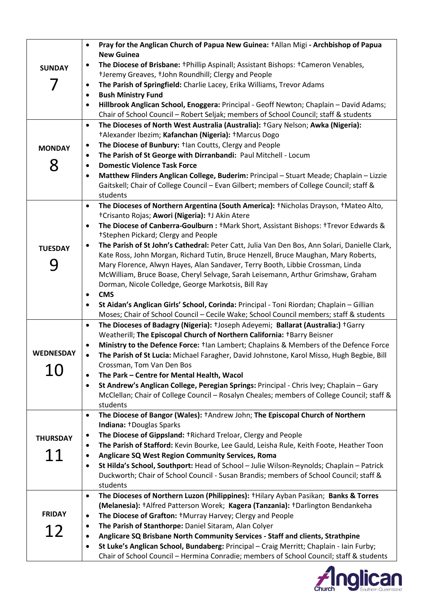| <b>SUNDAY</b><br><b>MONDAY</b><br>8 | Pray for the Anglican Church of Papua New Guinea: +Allan Migi - Archbishop of Papua<br>$\bullet$<br><b>New Guinea</b><br>The Diocese of Brisbane: †Phillip Aspinall; Assistant Bishops: †Cameron Venables,<br>$\bullet$<br>+Jeremy Greaves, +John Roundhill; Clergy and People<br>The Parish of Springfield: Charlie Lacey, Erika Williams, Trevor Adams<br>$\bullet$<br><b>Bush Ministry Fund</b><br>$\bullet$<br>Hillbrook Anglican School, Enoggera: Principal - Geoff Newton; Chaplain - David Adams;<br>$\bullet$<br>Chair of School Council - Robert Seljak; members of School Council; staff & students<br>The Dioceses of North West Australia (Australia): +Gary Nelson; Awka (Nigeria):<br>$\bullet$<br>+Alexander Ibezim; Kafanchan (Nigeria): +Marcus Dogo<br>The Diocese of Bunbury: <sup>+</sup> lan Coutts, Clergy and People<br>$\bullet$<br>The Parish of St George with Dirranbandi: Paul Mitchell - Locum<br>$\bullet$<br><b>Domestic Violence Task Force</b><br>$\bullet$ |
|-------------------------------------|-----------------------------------------------------------------------------------------------------------------------------------------------------------------------------------------------------------------------------------------------------------------------------------------------------------------------------------------------------------------------------------------------------------------------------------------------------------------------------------------------------------------------------------------------------------------------------------------------------------------------------------------------------------------------------------------------------------------------------------------------------------------------------------------------------------------------------------------------------------------------------------------------------------------------------------------------------------------------------------------------|
|                                     | Matthew Flinders Anglican College, Buderim: Principal - Stuart Meade; Chaplain - Lizzie<br>$\bullet$<br>Gaitskell; Chair of College Council - Evan Gilbert; members of College Council; staff &<br>students                                                                                                                                                                                                                                                                                                                                                                                                                                                                                                                                                                                                                                                                                                                                                                                   |
| <b>TUESDAY</b><br>9                 | The Dioceses of Northern Argentina (South America): †Nicholas Drayson, †Mateo Alto,<br>$\bullet$<br>†Crisanto Rojas; Awori (Nigeria): †J Akin Atere<br>The Diocese of Canberra-Goulburn : +Mark Short, Assistant Bishops: +Trevor Edwards &<br>$\bullet$<br>†Stephen Pickard; Clergy and People<br>The Parish of St John's Cathedral: Peter Catt, Julia Van Den Bos, Ann Solari, Danielle Clark,<br>$\bullet$<br>Kate Ross, John Morgan, Richard Tutin, Bruce Henzell, Bruce Maughan, Mary Roberts,<br>Mary Florence, Alwyn Hayes, Alan Sandaver, Terry Booth, Libbie Crossman, Linda<br>McWilliam, Bruce Boase, Cheryl Selvage, Sarah Leisemann, Arthur Grimshaw, Graham<br>Dorman, Nicole Colledge, George Markotsis, Bill Ray<br><b>CMS</b><br>$\bullet$<br>St Aidan's Anglican Girls' School, Corinda: Principal - Toni Riordan; Chaplain - Gillian<br>$\bullet$<br>Moses; Chair of School Council - Cecile Wake; School Council members; staff & students                                |
| <b>WEDNESDAY</b><br>10              | The Dioceses of Badagry (Nigeria): +Joseph Adeyemi; Ballarat (Australia:) +Garry<br>$\bullet$<br>Weatherill; The Episcopal Church of Northern California: +Barry Beisner<br>Ministry to the Defence Force: $t$ lan Lambert; Chaplains & Members of the Defence Force<br>$\bullet$<br>The Parish of St Lucia: Michael Faragher, David Johnstone, Karol Misso, Hugh Begbie, Bill<br>$\bullet$<br>Crossman, Tom Van Den Bos<br>The Park - Centre for Mental Health, Wacol<br>$\bullet$<br>St Andrew's Anglican College, Peregian Springs: Principal - Chris Ivey; Chaplain - Gary<br>$\bullet$<br>McClellan; Chair of College Council - Rosalyn Cheales; members of College Council; staff &<br>students                                                                                                                                                                                                                                                                                         |
| <b>THURSDAY</b><br>11               | The Diocese of Bangor (Wales): +Andrew John; The Episcopal Church of Northern<br>$\bullet$<br>Indiana: †Douglas Sparks<br>The Diocese of Gippsland: †Richard Treloar, Clergy and People<br>$\bullet$<br>The Parish of Stafford: Kevin Bourke, Lee Gauld, Leisha Rule, Keith Foote, Heather Toon<br>$\bullet$<br>Anglicare SQ West Region Community Services, Roma<br>$\bullet$<br>St Hilda's School, Southport: Head of School - Julie Wilson-Reynolds; Chaplain - Patrick<br>$\bullet$<br>Duckworth; Chair of School Council - Susan Brandis; members of School Council; staff &<br>students                                                                                                                                                                                                                                                                                                                                                                                                 |
| <b>FRIDAY</b><br>12                 | The Dioceses of Northern Luzon (Philippines): +Hilary Ayban Pasikan; Banks & Torres<br>$\bullet$<br>(Melanesia): +Alfred Patterson Worek; Kagera (Tanzania): +Darlington Bendankeha<br>The Diocese of Grafton: †Murray Harvey; Clergy and People<br>$\bullet$<br>The Parish of Stanthorpe: Daniel Sitaram, Alan Colyer<br>$\bullet$<br>Anglicare SQ Brisbane North Community Services - Staff and clients, Strathpine<br>$\bullet$<br>St Luke's Anglican School, Bundaberg: Principal - Craig Merritt; Chaplain - Iain Furby;<br>$\bullet$<br>Chair of School Council - Hermina Conradie; members of School Council; staff & students                                                                                                                                                                                                                                                                                                                                                         |

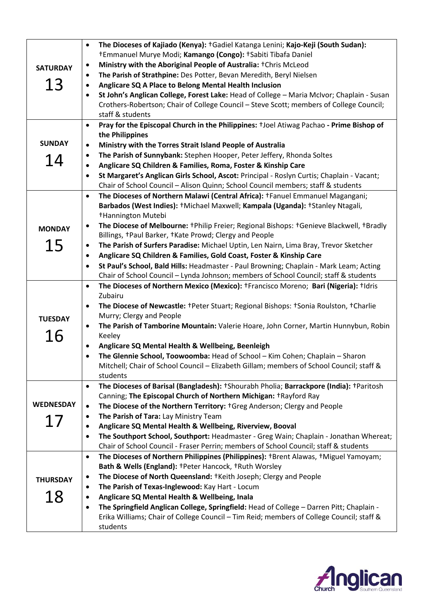| <b>SATURDAY</b><br>13 | The Dioceses of Kajiado (Kenya): +Gadiel Katanga Lenini; Kajo-Keji (South Sudan):<br>$\bullet$<br><sup>†</sup> Emmanuel Murye Modi; Kamango (Congo): †Sabiti Tibafa Daniel<br>Ministry with the Aboriginal People of Australia: †Chris McLeod<br>$\bullet$<br>The Parish of Strathpine: Des Potter, Bevan Meredith, Beryl Nielsen<br>$\bullet$<br>Anglicare SQ A Place to Belong Mental Health Inclusion<br>$\bullet$<br>St John's Anglican College, Forest Lake: Head of College - Maria McIvor; Chaplain - Susan<br>$\bullet$<br>Crothers-Robertson; Chair of College Council - Steve Scott; members of College Council;<br>staff & students<br>Pray for the Episcopal Church in the Philippines: +Joel Atiwag Pachao - Prime Bishop of<br>$\bullet$ |
|-----------------------|--------------------------------------------------------------------------------------------------------------------------------------------------------------------------------------------------------------------------------------------------------------------------------------------------------------------------------------------------------------------------------------------------------------------------------------------------------------------------------------------------------------------------------------------------------------------------------------------------------------------------------------------------------------------------------------------------------------------------------------------------------|
|                       | the Philippines                                                                                                                                                                                                                                                                                                                                                                                                                                                                                                                                                                                                                                                                                                                                        |
| <b>SUNDAY</b>         | Ministry with the Torres Strait Island People of Australia<br>$\bullet$                                                                                                                                                                                                                                                                                                                                                                                                                                                                                                                                                                                                                                                                                |
| 14                    | The Parish of Sunnybank: Stephen Hooper, Peter Jeffery, Rhonda Soltes<br>$\bullet$                                                                                                                                                                                                                                                                                                                                                                                                                                                                                                                                                                                                                                                                     |
|                       | Anglicare SQ Children & Families, Roma, Foster & Kinship Care<br>$\bullet$                                                                                                                                                                                                                                                                                                                                                                                                                                                                                                                                                                                                                                                                             |
|                       | St Margaret's Anglican Girls School, Ascot: Principal - Roslyn Curtis; Chaplain - Vacant;<br>$\bullet$                                                                                                                                                                                                                                                                                                                                                                                                                                                                                                                                                                                                                                                 |
|                       | Chair of School Council - Alison Quinn; School Council members; staff & students                                                                                                                                                                                                                                                                                                                                                                                                                                                                                                                                                                                                                                                                       |
|                       | The Dioceses of Northern Malawi (Central Africa): +Fanuel Emmanuel Magangani;<br>$\bullet$<br>Barbados (West Indies): †Michael Maxwell; Kampala (Uganda): †Stanley Ntagali,<br><sup>+</sup> Hannington Mutebi                                                                                                                                                                                                                                                                                                                                                                                                                                                                                                                                          |
| <b>MONDAY</b>         | The Diocese of Melbourne: †Philip Freier; Regional Bishops: †Genieve Blackwell, †Bradly<br>$\bullet$<br>Billings, +Paul Barker, +Kate Prowd; Clergy and People                                                                                                                                                                                                                                                                                                                                                                                                                                                                                                                                                                                         |
| 15                    | The Parish of Surfers Paradise: Michael Uptin, Len Nairn, Lima Bray, Trevor Sketcher<br>$\bullet$                                                                                                                                                                                                                                                                                                                                                                                                                                                                                                                                                                                                                                                      |
|                       | Anglicare SQ Children & Families, Gold Coast, Foster & Kinship Care<br>$\bullet$                                                                                                                                                                                                                                                                                                                                                                                                                                                                                                                                                                                                                                                                       |
|                       | St Paul's School, Bald Hills: Headmaster - Paul Browning; Chaplain - Mark Leam; Acting<br>$\bullet$                                                                                                                                                                                                                                                                                                                                                                                                                                                                                                                                                                                                                                                    |
|                       | Chair of School Council - Lynda Johnson; members of School Council; staff & students                                                                                                                                                                                                                                                                                                                                                                                                                                                                                                                                                                                                                                                                   |
|                       | The Dioceses of Northern Mexico (Mexico): †Francisco Moreno; Bari (Nigeria): †Idris<br>$\bullet$<br>Zubairu                                                                                                                                                                                                                                                                                                                                                                                                                                                                                                                                                                                                                                            |
|                       | The Diocese of Newcastle: †Peter Stuart; Regional Bishops: †Sonia Roulston, †Charlie<br>$\bullet$                                                                                                                                                                                                                                                                                                                                                                                                                                                                                                                                                                                                                                                      |
| <b>TUESDAY</b>        | Murry; Clergy and People                                                                                                                                                                                                                                                                                                                                                                                                                                                                                                                                                                                                                                                                                                                               |
|                       | The Parish of Tamborine Mountain: Valerie Hoare, John Corner, Martin Hunnybun, Robin<br>$\bullet$                                                                                                                                                                                                                                                                                                                                                                                                                                                                                                                                                                                                                                                      |
| 16                    | Keeley                                                                                                                                                                                                                                                                                                                                                                                                                                                                                                                                                                                                                                                                                                                                                 |
|                       | Anglicare SQ Mental Health & Wellbeing, Beenleigh<br>$\bullet$                                                                                                                                                                                                                                                                                                                                                                                                                                                                                                                                                                                                                                                                                         |
|                       | The Glennie School, Toowoomba: Head of School - Kim Cohen; Chaplain - Sharon<br>$\bullet$<br>Mitchell; Chair of School Council - Elizabeth Gillam; members of School Council; staff &                                                                                                                                                                                                                                                                                                                                                                                                                                                                                                                                                                  |
|                       | students                                                                                                                                                                                                                                                                                                                                                                                                                                                                                                                                                                                                                                                                                                                                               |
|                       | The Dioceses of Barisal (Bangladesh): †Shourabh Pholia; Barrackpore (India): †Paritosh<br>$\bullet$                                                                                                                                                                                                                                                                                                                                                                                                                                                                                                                                                                                                                                                    |
|                       | Canning; The Episcopal Church of Northern Michigan: +Rayford Ray                                                                                                                                                                                                                                                                                                                                                                                                                                                                                                                                                                                                                                                                                       |
| <b>WEDNESDAY</b>      | The Diocese of the Northern Territory: +Greg Anderson; Clergy and People<br>$\bullet$                                                                                                                                                                                                                                                                                                                                                                                                                                                                                                                                                                                                                                                                  |
| 17                    | The Parish of Tara: Lay Ministry Team<br>$\bullet$                                                                                                                                                                                                                                                                                                                                                                                                                                                                                                                                                                                                                                                                                                     |
|                       | Anglicare SQ Mental Health & Wellbeing, Riverview, Booval<br>$\bullet$                                                                                                                                                                                                                                                                                                                                                                                                                                                                                                                                                                                                                                                                                 |
|                       | The Southport School, Southport: Headmaster - Greg Wain; Chaplain - Jonathan Whereat;<br>$\bullet$                                                                                                                                                                                                                                                                                                                                                                                                                                                                                                                                                                                                                                                     |
|                       | Chair of School Council - Fraser Perrin; members of School Council; staff & students                                                                                                                                                                                                                                                                                                                                                                                                                                                                                                                                                                                                                                                                   |
|                       | The Dioceses of Northern Philippines (Philippines): †Brent Alawas, †Miguel Yamoyam;<br>$\bullet$<br>Bath & Wells (England): +Peter Hancock, +Ruth Worsley                                                                                                                                                                                                                                                                                                                                                                                                                                                                                                                                                                                              |
| <b>THURSDAY</b>       | The Diocese of North Queensland: †Keith Joseph; Clergy and People<br>$\bullet$                                                                                                                                                                                                                                                                                                                                                                                                                                                                                                                                                                                                                                                                         |
|                       | The Parish of Texas-Inglewood: Kay Hart - Locum<br>٠                                                                                                                                                                                                                                                                                                                                                                                                                                                                                                                                                                                                                                                                                                   |
| 18                    | Anglicare SQ Mental Health & Wellbeing, Inala<br>$\bullet$                                                                                                                                                                                                                                                                                                                                                                                                                                                                                                                                                                                                                                                                                             |
|                       | The Springfield Anglican College, Springfield: Head of College - Darren Pitt; Chaplain -<br>$\bullet$                                                                                                                                                                                                                                                                                                                                                                                                                                                                                                                                                                                                                                                  |
|                       | Erika Williams; Chair of College Council - Tim Reid; members of College Council; staff &                                                                                                                                                                                                                                                                                                                                                                                                                                                                                                                                                                                                                                                               |
|                       | students                                                                                                                                                                                                                                                                                                                                                                                                                                                                                                                                                                                                                                                                                                                                               |

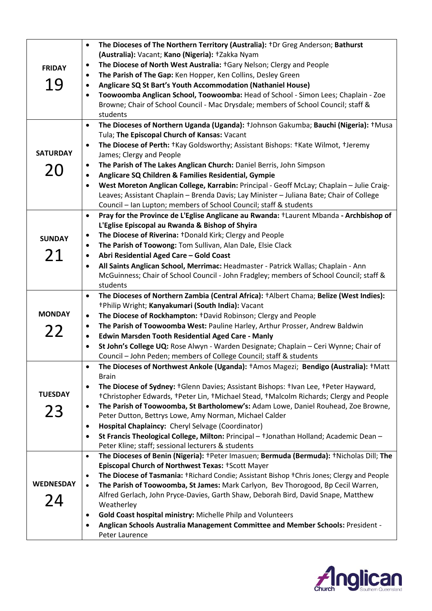|                  | The Dioceses of The Northern Territory (Australia): <sup>+</sup> Dr Greg Anderson; Bathurst<br>$\bullet$                                         |
|------------------|--------------------------------------------------------------------------------------------------------------------------------------------------|
|                  | (Australia): Vacant; Kano (Nigeria): +Zakka Nyam                                                                                                 |
| <b>FRIDAY</b>    | The Diocese of North West Australia: +Gary Nelson; Clergy and People<br>$\bullet$                                                                |
|                  | The Parish of The Gap: Ken Hopper, Ken Collins, Desley Green<br>٠                                                                                |
| 19               | Anglicare SQ St Bart's Youth Accommodation (Nathaniel House)<br>٠                                                                                |
|                  | Toowoomba Anglican School, Toowoomba: Head of School - Simon Lees; Chaplain - Zoe<br>٠                                                           |
|                  | Browne; Chair of School Council - Mac Drysdale; members of School Council; staff &                                                               |
|                  | students                                                                                                                                         |
|                  | The Dioceses of Northern Uganda (Uganda): +Johnson Gakumba; Bauchi (Nigeria): +Musa<br>$\bullet$<br>Tula; The Episcopal Church of Kansas: Vacant |
|                  | The Diocese of Perth: †Kay Goldsworthy; Assistant Bishops: †Kate Wilmot, †Jeremy<br>$\bullet$                                                    |
| <b>SATURDAY</b>  | James; Clergy and People                                                                                                                         |
| 20               | The Parish of The Lakes Anglican Church: Daniel Berris, John Simpson<br>٠                                                                        |
|                  | Anglicare SQ Children & Families Residential, Gympie<br>$\bullet$                                                                                |
|                  | West Moreton Anglican College, Karrabin: Principal - Geoff McLay; Chaplain - Julie Craig-<br>$\bullet$                                           |
|                  | Leaves; Assistant Chaplain - Brenda Davis; Lay Minister - Juliana Bate; Chair of College                                                         |
|                  | Council - Ian Lupton; members of School Council; staff & students                                                                                |
|                  | Pray for the Province de L'Eglise Anglicane au Rwanda: +Laurent Mbanda - Archbishop of<br>$\bullet$                                              |
|                  | L'Eglise Episcopal au Rwanda & Bishop of Shyira                                                                                                  |
| <b>SUNDAY</b>    | The Diocese of Riverina: †Donald Kirk; Clergy and People<br>$\bullet$                                                                            |
|                  | The Parish of Toowong: Tom Sullivan, Alan Dale, Elsie Clack<br>$\bullet$                                                                         |
| 21               | Abri Residential Aged Care - Gold Coast<br>$\bullet$                                                                                             |
|                  | All Saints Anglican School, Merrimac: Headmaster - Patrick Wallas; Chaplain - Ann<br>$\bullet$                                                   |
|                  | McGuinness; Chair of School Council - John Fradgley; members of School Council; staff &                                                          |
|                  | students                                                                                                                                         |
|                  | The Dioceses of Northern Zambia (Central Africa): +Albert Chama; Belize (West Indies):<br>$\bullet$                                              |
|                  |                                                                                                                                                  |
|                  | +Philip Wright; Kanyakumari (South India): Vacant                                                                                                |
| <b>MONDAY</b>    | The Diocese of Rockhampton: +David Robinson; Clergy and People<br>$\bullet$                                                                      |
|                  | The Parish of Toowoomba West: Pauline Harley, Arthur Prosser, Andrew Baldwin<br>٠                                                                |
| 22               | Edwin Marsden Tooth Residential Aged Care - Manly<br>$\bullet$                                                                                   |
|                  | St John's College UQ: Rose Alwyn - Warden Designate; Chaplain - Ceri Wynne; Chair of<br>$\bullet$                                                |
|                  | Council - John Peden; members of College Council; staff & students                                                                               |
|                  | The Dioceses of Northwest Ankole (Uganda): +Amos Magezi; Bendigo (Australia): +Matt                                                              |
|                  | <b>Brain</b>                                                                                                                                     |
| <b>TUESDAY</b>   | The Diocese of Sydney: †Glenn Davies; Assistant Bishops: †Ivan Lee, †Peter Hayward,<br>$\bullet$                                                 |
|                  | +Christopher Edwards, +Peter Lin, +Michael Stead, +Malcolm Richards; Clergy and People<br>$\bullet$                                              |
| 23               | The Parish of Toowoomba, St Bartholomew's: Adam Lowe, Daniel Rouhead, Zoe Browne,                                                                |
|                  | Peter Dutton, Bettrys Lowe, Amy Norman, Michael Calder<br>Hospital Chaplaincy: Cheryl Selvage (Coordinator)<br>$\bullet$                         |
|                  | $\bullet$                                                                                                                                        |
|                  | St Francis Theological College, Milton: Principal - +Jonathan Holland; Academic Dean -<br>Peter Kline; staff; sessional lecturers & students     |
|                  | The Dioceses of Benin (Nigeria): +Peter Imasuen; Bermuda (Bermuda): +Nicholas Dill; The<br>$\bullet$                                             |
|                  | Episcopal Church of Northwest Texas: +Scott Mayer                                                                                                |
|                  | The Diocese of Tasmania: +Richard Condie; Assistant Bishop +Chris Jones; Clergy and People<br>$\bullet$                                          |
| <b>WEDNESDAY</b> | The Parish of Toowoomba, St James: Mark Carlyon, Bev Thorogood, Bp Cecil Warren,<br>$\bullet$                                                    |
|                  | Alfred Gerlach, John Pryce-Davies, Garth Shaw, Deborah Bird, David Snape, Matthew                                                                |
| 24               | Weatherley                                                                                                                                       |
|                  | Gold Coast hospital ministry: Michelle Philp and Volunteers<br>$\bullet$                                                                         |
|                  | Anglican Schools Australia Management Committee and Member Schools: President -<br>٠<br>Peter Laurence                                           |